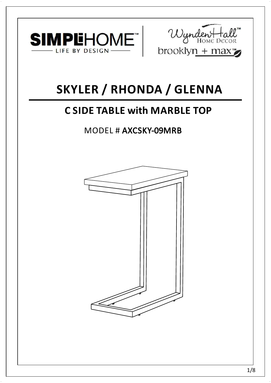



# **SKYLER / RHONDA / GLENNA**

# **C SIDE TABLE with MARBLE TOP**

## MODEL # AXCSKY-09MRB

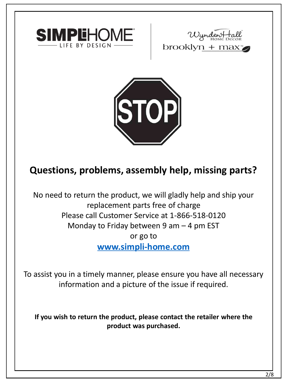





### **Questions, problems, assembly help, missing parts?**

No need to return the product, we will gladly help and ship your replacement parts free of charge Please call Customer Service at 1-866-518-0120 Monday to Friday between 9 am  $-$  4 pm EST or go to **[www.simpli-home.com](http://www.simpli-home.com/parts)**

To assist you in a timely manner, please ensure you have all necessary information and a picture of the issue if required.

**If you wish to return the product, please contact the retailer where the product was purchased.**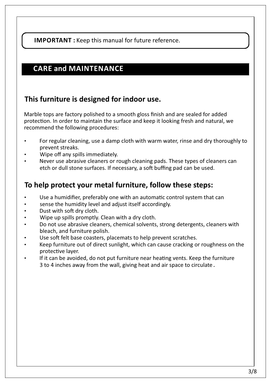**IMPORTANT :** Keep this manual for future reference.

### **CARE and MAINTENANCE**

#### **This furniture is designed for indoor use.**

Marble tops are factory polished to a smooth gloss finish and are sealed for added protection. In order to maintain the surface and keep it looking fresh and natural, we recommend the following procedures:

- For regular cleaning, use a damp cloth with warm water, rinse and dry thoroughly to prevent streaks.
- Wipe off any spills immediately.
- Never use abrasive cleaners or rough cleaning pads. These types of cleaners can etch or dull stone surfaces. If necessary, a soft buffing pad can be used.

#### **To help protect your metal furniture, follow these steps:**

- Use a humidifier, preferably one with an automatic control system that can
- sense the humidity level and adjust itself accordingly.
- Dust with soft dry cloth.
- Wipe up spills promptly. Clean with a dry cloth.
- Do not use abrasive cleaners, chemical solvents, strong detergents, cleaners with bleach, and furniture polish.
- Use soft felt base coasters, placemats to help prevent scratches.
- Keep furniture out of direct sunlight, which can cause cracking or roughness on the protective laver.
- If it can be avoided, do not put furniture near heating vents. Keep the furniture 3 to 4 inches away from the wall, giving heat and air space to circulate .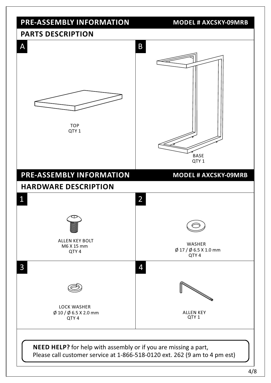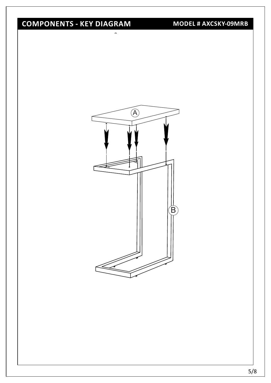## **COMPONENTS - KEY DIAGRAM**

**MODEL # AXCSKY-09MRB**

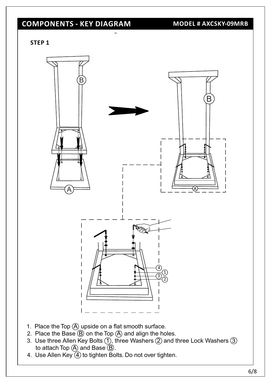### **COMPONENTS - KEY DIAGRAM**

**MODEL # AXCSKY-09MRB**

**STEP 1**



- 1. Place the Top  $\overline{A}$  upside on a flat smooth surface.
- 2. Place the Base  $\overline{B}$  on the Top  $\overline{A}$  and align the holes.
- 3. Use three Allen Key Bolts  $\overline{1}$ , three Washers  $\overline{2}$  and three Lock Washers  $\overline{3}$ to attach Top  $\overline{A}$  and Base  $\overline{B}$ .
- 4. Use Allen Key 4 to tighten Bolts. Do not over tighten.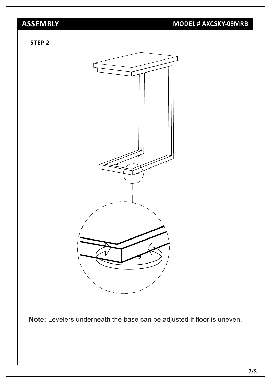### **ASSEMBLY**

#### **MODEL # AXCSKY-09MRB**

#### **STEP 2**



Note: Levelers underneath the base can be adjusted if floor is uneven.